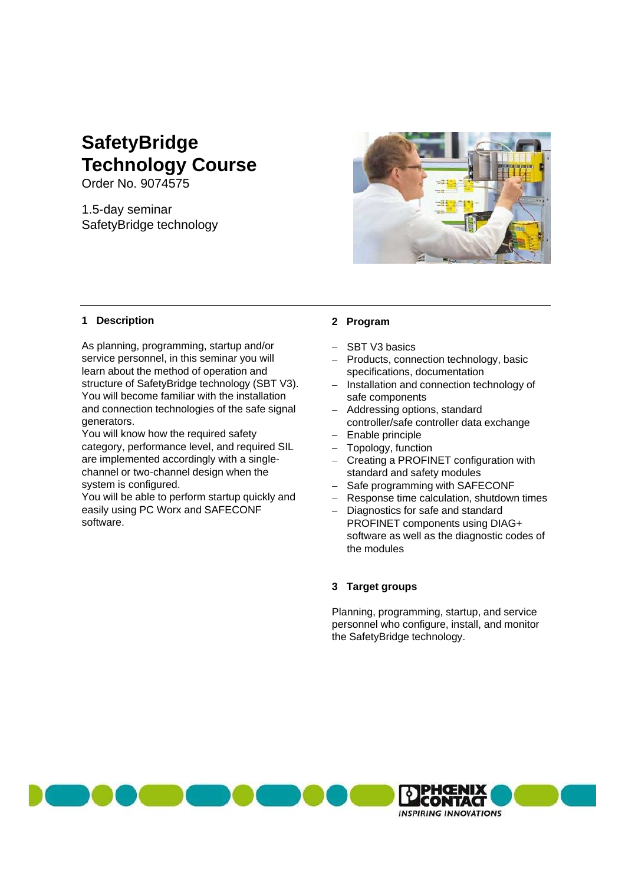# **SafetyBridge Technology Course**

Order No. 9074575

1.5-day seminar SafetyBridge technology

### **1 Description**

As planning, programming, startup and/or service personnel, in this seminar you will learn about the method of operation and structure of SafetyBridge technology (SBT V3). You will become familiar with the installation and connection technologies of the safe signal generators.

You will know how the required safety category, performance level, and required SIL are implemented accordingly with a singlechannel or two-channel design when the system is configured.

You will be able to perform startup quickly and easily using PC Worx and SAFECONF software.



# **2 Program**

- SBT V3 basics
- Products, connection technology, basic specifications, documentation
- Installation and connection technology of safe components
- Addressing options, standard controller/safe controller data exchange
- Enable principle
- Topology, function
- Creating a PROFINET configuration with standard and safety modules
- Safe programming with SAFECONF
- Response time calculation, shutdown times
- Diagnostics for safe and standard PROFINET components using DIAG+ software as well as the diagnostic codes of the modules

### **3 Target groups**

Planning, programming, startup, and service personnel who configure, install, and monitor the SafetyBridge technology.